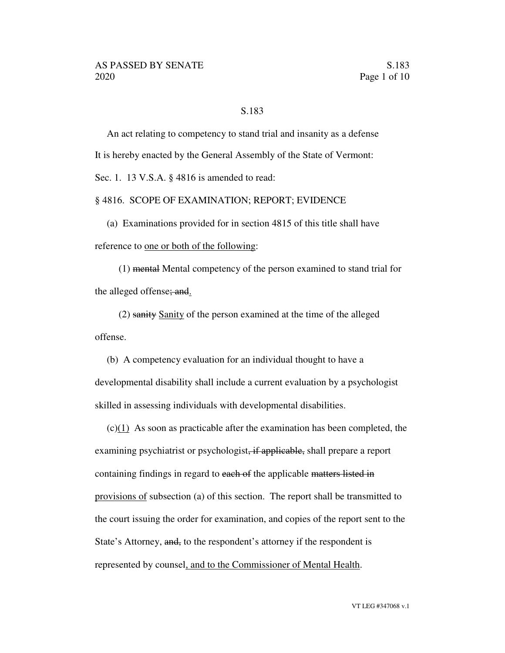## S.183

An act relating to competency to stand trial and insanity as a defense It is hereby enacted by the General Assembly of the State of Vermont:

Sec. 1. 13 V.S.A. § 4816 is amended to read:

#### § 4816. SCOPE OF EXAMINATION; REPORT; EVIDENCE

(a) Examinations provided for in section 4815 of this title shall have reference to one or both of the following:

(1) mental Mental competency of the person examined to stand trial for the alleged offense; and.

(2) sanity Sanity of the person examined at the time of the alleged offense.

(b) A competency evaluation for an individual thought to have a developmental disability shall include a current evaluation by a psychologist skilled in assessing individuals with developmental disabilities.

 $(c)(1)$  As soon as practicable after the examination has been completed, the examining psychiatrist or psychologist, if applicable, shall prepare a report containing findings in regard to each of the applicable matters listed in provisions of subsection (a) of this section. The report shall be transmitted to the court issuing the order for examination, and copies of the report sent to the State's Attorney, and, to the respondent's attorney if the respondent is represented by counsel, and to the Commissioner of Mental Health.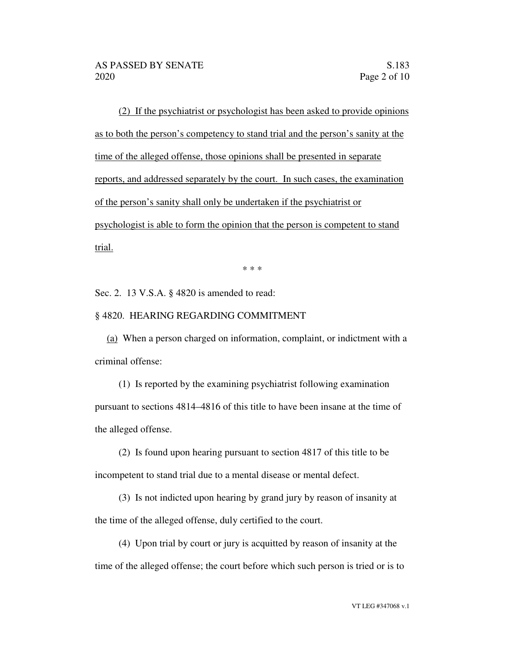(2) If the psychiatrist or psychologist has been asked to provide opinions as to both the person's competency to stand trial and the person's sanity at the time of the alleged offense, those opinions shall be presented in separate reports, and addressed separately by the court. In such cases, the examination of the person's sanity shall only be undertaken if the psychiatrist or psychologist is able to form the opinion that the person is competent to stand trial.

\* \* \*

Sec. 2. 13 V.S.A. § 4820 is amended to read:

### § 4820. HEARING REGARDING COMMITMENT

(a) When a person charged on information, complaint, or indictment with a criminal offense:

(1) Is reported by the examining psychiatrist following examination pursuant to sections 4814–4816 of this title to have been insane at the time of the alleged offense.

(2) Is found upon hearing pursuant to section 4817 of this title to be incompetent to stand trial due to a mental disease or mental defect.

(3) Is not indicted upon hearing by grand jury by reason of insanity at the time of the alleged offense, duly certified to the court.

(4) Upon trial by court or jury is acquitted by reason of insanity at the time of the alleged offense; the court before which such person is tried or is to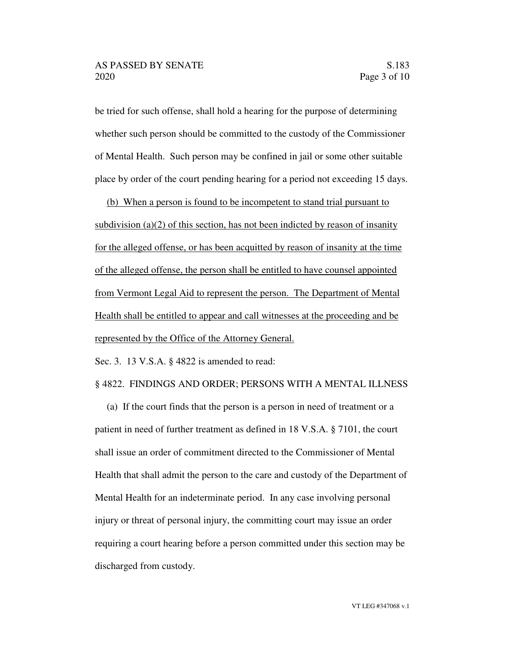be tried for such offense, shall hold a hearing for the purpose of determining whether such person should be committed to the custody of the Commissioner of Mental Health. Such person may be confined in jail or some other suitable place by order of the court pending hearing for a period not exceeding 15 days.

(b) When a person is found to be incompetent to stand trial pursuant to subdivision (a)(2) of this section, has not been indicted by reason of insanity for the alleged offense, or has been acquitted by reason of insanity at the time of the alleged offense, the person shall be entitled to have counsel appointed from Vermont Legal Aid to represent the person. The Department of Mental Health shall be entitled to appear and call witnesses at the proceeding and be represented by the Office of the Attorney General.

Sec. 3. 13 V.S.A. § 4822 is amended to read:

#### § 4822. FINDINGS AND ORDER; PERSONS WITH A MENTAL ILLNESS

(a) If the court finds that the person is a person in need of treatment or a patient in need of further treatment as defined in 18 V.S.A. § 7101, the court shall issue an order of commitment directed to the Commissioner of Mental Health that shall admit the person to the care and custody of the Department of Mental Health for an indeterminate period. In any case involving personal injury or threat of personal injury, the committing court may issue an order requiring a court hearing before a person committed under this section may be discharged from custody.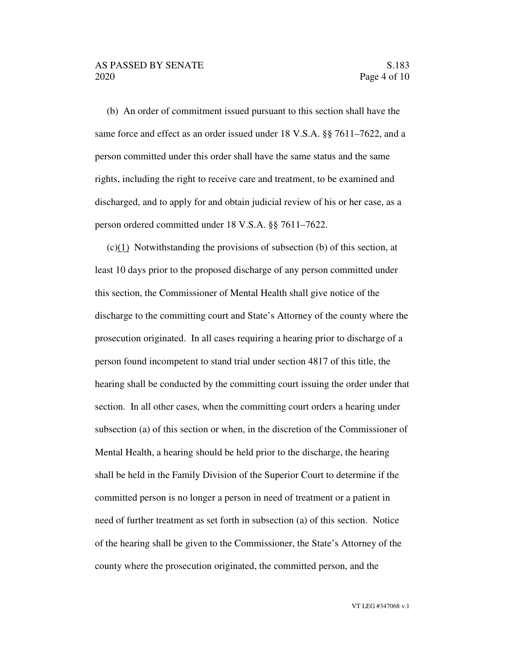(b) An order of commitment issued pursuant to this section shall have the same force and effect as an order issued under 18 V.S.A. §§ 7611–7622, and a person committed under this order shall have the same status and the same rights, including the right to receive care and treatment, to be examined and discharged, and to apply for and obtain judicial review of his or her case, as a person ordered committed under 18 V.S.A. §§ 7611–7622.

 $(c)(1)$  Notwithstanding the provisions of subsection (b) of this section, at least 10 days prior to the proposed discharge of any person committed under this section, the Commissioner of Mental Health shall give notice of the discharge to the committing court and State's Attorney of the county where the prosecution originated. In all cases requiring a hearing prior to discharge of a person found incompetent to stand trial under section 4817 of this title, the hearing shall be conducted by the committing court issuing the order under that section. In all other cases, when the committing court orders a hearing under subsection (a) of this section or when, in the discretion of the Commissioner of Mental Health, a hearing should be held prior to the discharge, the hearing shall be held in the Family Division of the Superior Court to determine if the committed person is no longer a person in need of treatment or a patient in need of further treatment as set forth in subsection (a) of this section. Notice of the hearing shall be given to the Commissioner, the State's Attorney of the county where the prosecution originated, the committed person, and the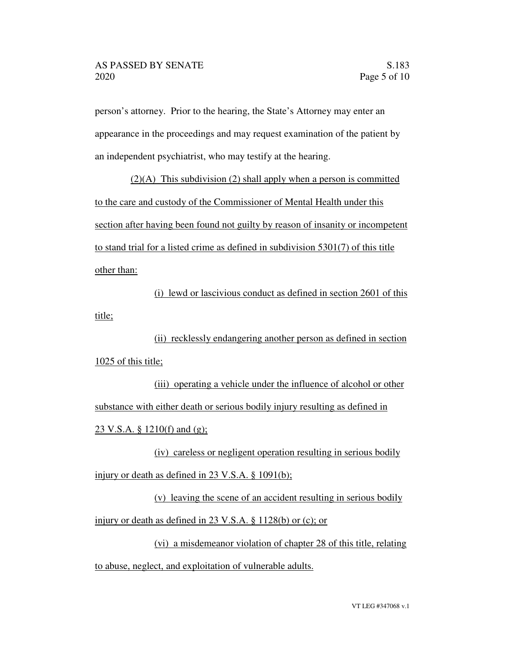person's attorney. Prior to the hearing, the State's Attorney may enter an appearance in the proceedings and may request examination of the patient by an independent psychiatrist, who may testify at the hearing.

 $(2)(A)$  This subdivision (2) shall apply when a person is committed to the care and custody of the Commissioner of Mental Health under this section after having been found not guilty by reason of insanity or incompetent to stand trial for a listed crime as defined in subdivision 5301(7) of this title other than:

(i) lewd or lascivious conduct as defined in section 2601 of this title;

(ii) recklessly endangering another person as defined in section 1025 of this title;

(iii) operating a vehicle under the influence of alcohol or other substance with either death or serious bodily injury resulting as defined in 23 V.S.A. § 1210(f) and (g);

(iv) careless or negligent operation resulting in serious bodily injury or death as defined in 23 V.S.A. § 1091(b);

(v) leaving the scene of an accident resulting in serious bodily injury or death as defined in 23 V.S.A. § 1128(b) or (c); or

(vi) a misdemeanor violation of chapter 28 of this title, relating to abuse, neglect, and exploitation of vulnerable adults.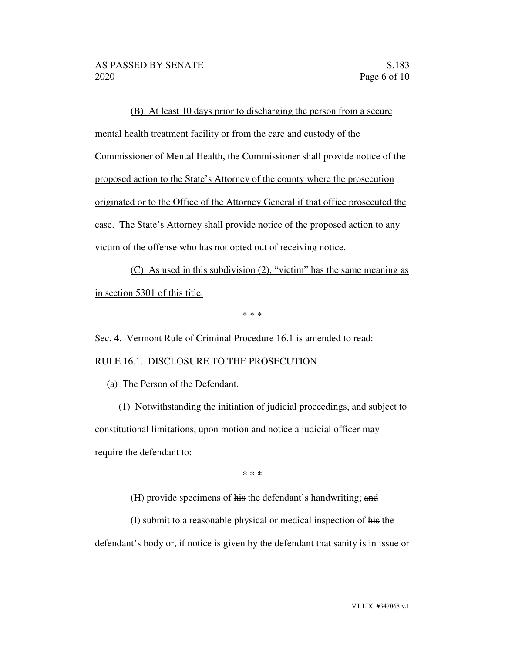(B) At least 10 days prior to discharging the person from a secure mental health treatment facility or from the care and custody of the Commissioner of Mental Health, the Commissioner shall provide notice of the proposed action to the State's Attorney of the county where the prosecution originated or to the Office of the Attorney General if that office prosecuted the case. The State's Attorney shall provide notice of the proposed action to any victim of the offense who has not opted out of receiving notice.

(C) As used in this subdivision (2), "victim" has the same meaning as in section 5301 of this title.

\* \* \*

Sec. 4. Vermont Rule of Criminal Procedure 16.1 is amended to read:

## RULE 16.1. DISCLOSURE TO THE PROSECUTION

(a) The Person of the Defendant.

(1) Notwithstanding the initiation of judicial proceedings, and subject to constitutional limitations, upon motion and notice a judicial officer may require the defendant to:

\* \* \*

(H) provide specimens of his the defendant's handwriting; and

(I) submit to a reasonable physical or medical inspection of his the

defendant's body or, if notice is given by the defendant that sanity is in issue or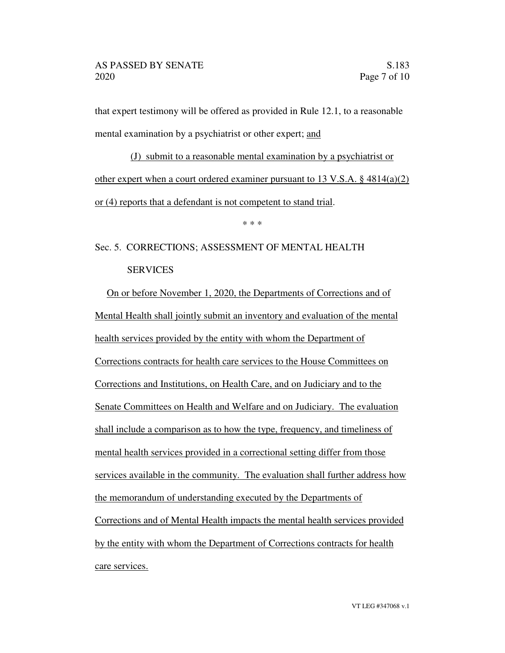that expert testimony will be offered as provided in Rule 12.1, to a reasonable mental examination by a psychiatrist or other expert; and

(J) submit to a reasonable mental examination by a psychiatrist or other expert when a court ordered examiner pursuant to 13 V.S.A.  $\S$  4814(a)(2) or (4) reports that a defendant is not competent to stand trial.

\* \* \*

# Sec. 5. CORRECTIONS; ASSESSMENT OF MENTAL HEALTH **SERVICES**

On or before November 1, 2020, the Departments of Corrections and of Mental Health shall jointly submit an inventory and evaluation of the mental health services provided by the entity with whom the Department of Corrections contracts for health care services to the House Committees on Corrections and Institutions, on Health Care, and on Judiciary and to the Senate Committees on Health and Welfare and on Judiciary. The evaluation shall include a comparison as to how the type, frequency, and timeliness of mental health services provided in a correctional setting differ from those services available in the community. The evaluation shall further address how the memorandum of understanding executed by the Departments of Corrections and of Mental Health impacts the mental health services provided by the entity with whom the Department of Corrections contracts for health care services.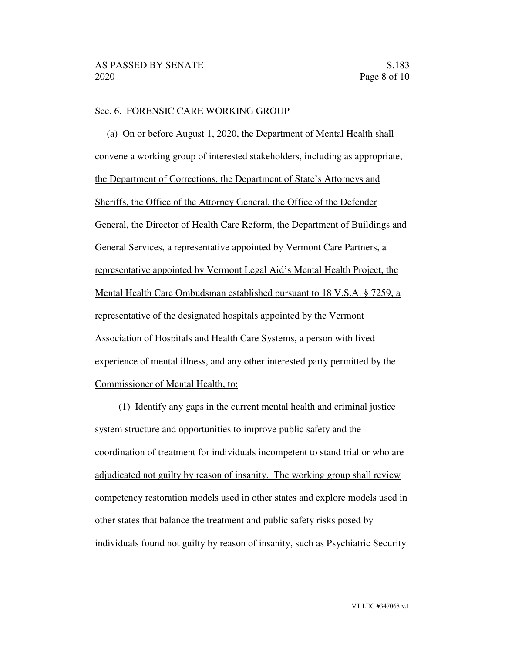## Sec. 6. FORENSIC CARE WORKING GROUP

(a) On or before August 1, 2020, the Department of Mental Health shall convene a working group of interested stakeholders, including as appropriate, the Department of Corrections, the Department of State's Attorneys and Sheriffs, the Office of the Attorney General, the Office of the Defender General, the Director of Health Care Reform, the Department of Buildings and General Services, a representative appointed by Vermont Care Partners, a representative appointed by Vermont Legal Aid's Mental Health Project, the Mental Health Care Ombudsman established pursuant to 18 V.S.A. § 7259, a representative of the designated hospitals appointed by the Vermont Association of Hospitals and Health Care Systems, a person with lived experience of mental illness, and any other interested party permitted by the Commissioner of Mental Health, to:

(1) Identify any gaps in the current mental health and criminal justice system structure and opportunities to improve public safety and the coordination of treatment for individuals incompetent to stand trial or who are adjudicated not guilty by reason of insanity. The working group shall review competency restoration models used in other states and explore models used in other states that balance the treatment and public safety risks posed by individuals found not guilty by reason of insanity, such as Psychiatric Security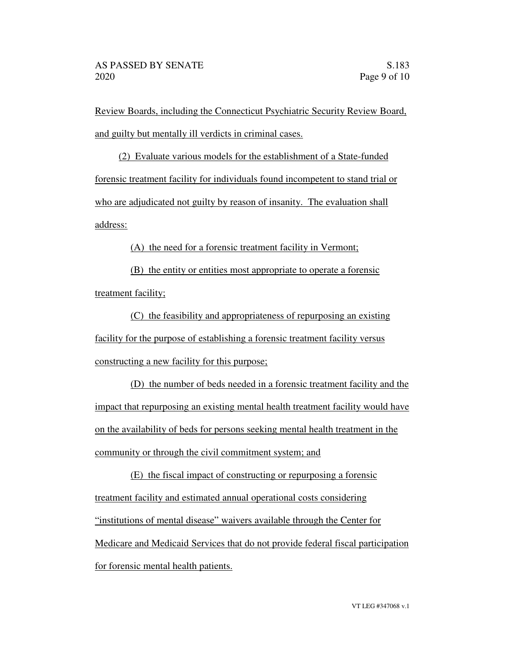Review Boards, including the Connecticut Psychiatric Security Review Board, and guilty but mentally ill verdicts in criminal cases.

(2) Evaluate various models for the establishment of a State-funded forensic treatment facility for individuals found incompetent to stand trial or who are adjudicated not guilty by reason of insanity. The evaluation shall address:

(A) the need for a forensic treatment facility in Vermont;

(B) the entity or entities most appropriate to operate a forensic treatment facility;

(C) the feasibility and appropriateness of repurposing an existing facility for the purpose of establishing a forensic treatment facility versus constructing a new facility for this purpose;

(D) the number of beds needed in a forensic treatment facility and the impact that repurposing an existing mental health treatment facility would have on the availability of beds for persons seeking mental health treatment in the community or through the civil commitment system; and

(E) the fiscal impact of constructing or repurposing a forensic treatment facility and estimated annual operational costs considering "institutions of mental disease" waivers available through the Center for Medicare and Medicaid Services that do not provide federal fiscal participation for forensic mental health patients.